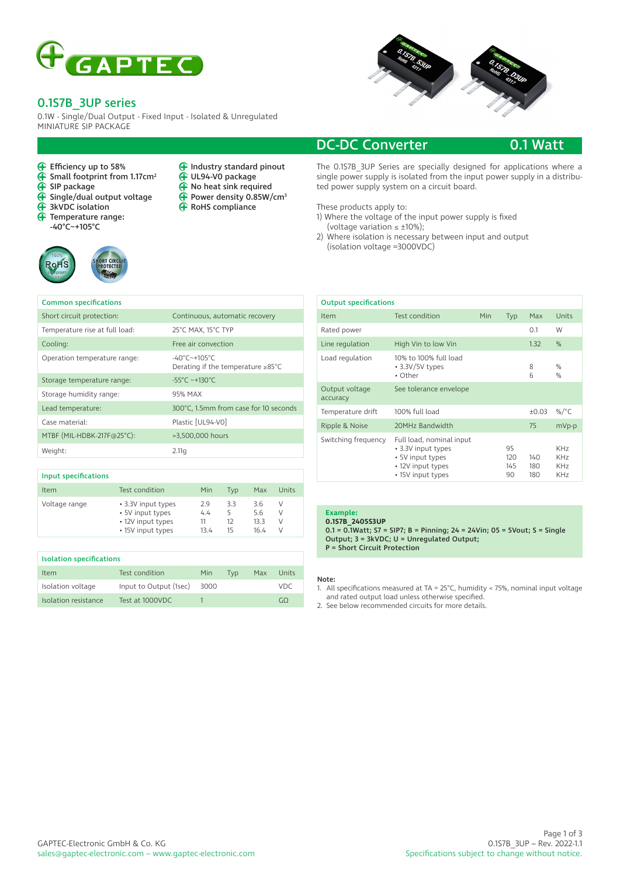

## 0.1S7B\_3UP series

← Efficiency up to 58%<br>← Small footprint from

Common specifications

 $\overrightarrow{ }$  SIP package

**RoHS** 

 $\ddot{\mathbf{\theta}}$ 

 $\tilde{\mathbf{P}}$ 

Small footprint from 1.17cm<sup>2</sup>

 $\hat{\mathbf{\Theta}}$  Single/dual output voltage 3kVDC isolation Temperature range: -40°C~+105°C

0.1W - Single/Dual Output - Fixed Input - Isolated & Unregulated MINIATURE SIP PACKAGE

> $\ddot{\textbf{f}}$  $\tilde{\mathbf{\Theta}}$  $\ddot{\mathbf{\Theta}}$

⊕

Industry standard pinout UL94-V0 package No heat sink required Power density 0.85W/cm3 RoHS compliance



# DC-DC Converter 0.1 Watt

The 0.1S7B\_3UP Series are specially designed for applications where a single power supply is isolated from the input power supply in a distributed power supply system on a circuit board.

These products apply to:

- 1) Where the voltage of the input power supply is fixed
- (voltage variation  $\leq \pm 10\%$ );
- 2) Where isolation is necessary between input and output (isolation voltage =3000VDC)

|      | <b>Output specifications</b> |                                                                                                              |     |                        |                   |                                                                          |  |
|------|------------------------------|--------------------------------------------------------------------------------------------------------------|-----|------------------------|-------------------|--------------------------------------------------------------------------|--|
|      | Item                         | Test condition                                                                                               | Min | Typ                    | Max               | Units                                                                    |  |
|      | Rated power                  |                                                                                                              |     |                        | 0.1               | W                                                                        |  |
|      | Line regulation              | High Vin to low Vin                                                                                          |     |                        | 1.32              | %                                                                        |  |
|      | Load regulation              | 10% to 100% full load<br>$\cdot$ 3.3V/5V types<br>• Other                                                    |     |                        | 8<br>6            | $\frac{0}{0}$<br>$\frac{0}{0}$                                           |  |
|      | Output voltage<br>accuracy   | See tolerance envelope                                                                                       |     |                        |                   |                                                                          |  |
| onds | Temperature drift            | 100% full load                                                                                               |     |                        | ±0.03             | %/ $^{\circ}$ C                                                          |  |
|      | Ripple & Noise               | 20MHz Bandwidth                                                                                              |     |                        | 75                | mVp-p                                                                    |  |
|      | Switching frequency          | Full load, nominal input<br>• 3.3V input types<br>• 5V input types<br>• 12V input types<br>• 15V input types |     | 95<br>120<br>145<br>90 | 140<br>180<br>180 | KH <sub>7</sub><br>KH <sub>7</sub><br>KH <sub>7</sub><br>KH <sub>7</sub> |  |

| Temperature rise at full load: | 25°C MAX, 15°C TYP                                                                   |
|--------------------------------|--------------------------------------------------------------------------------------|
| Cooling:                       | Free air convection                                                                  |
| Operation temperature range:   | $-40^{\circ}$ C $-+105^{\circ}$ C<br>Derating if the temperature $\geq 85^{\circ}$ C |
| Storage temperature range:     | $-55^{\circ}$ C ~+130°C                                                              |
| Storage humidity range:        | 95% MAX                                                                              |
| Lead temperature:              | 300°C, 1.5mm from case for 10 seconds                                                |
| Case material:                 | Plastic [UL94-V0]                                                                    |
| MTBF (MIL-HDBK-217F@25°C):     | >3,500,000 hours                                                                     |
| Weight:                        | 2.11q                                                                                |
|                                |                                                                                      |

Short circuit protection: Continuous, automatic recovery

| Input specifications |                                                                                  |                          |                            |                            |                  |
|----------------------|----------------------------------------------------------------------------------|--------------------------|----------------------------|----------------------------|------------------|
| <b>Item</b>          | Test condition                                                                   | Min                      | Tvp                        | Max                        | Units            |
| Voltage range        | • 3.3V input types<br>• 5V input types<br>• 12V input types<br>• 15V input types | 2.9<br>4.4<br>11<br>13.4 | 33<br>5<br>$12^{12}$<br>15 | 3.6<br>5.6<br>13.3<br>16.4 | ν<br>ν<br>ν<br>ν |

| <b>Isolation specifications</b> |                        |      |     |     |       |
|---------------------------------|------------------------|------|-----|-----|-------|
| Item                            | Test condition         | Min  | Tvp | Max | Units |
| Isolation voltage               | Input to Output (1sec) | 3000 |     |     | VDC   |
| Isolation resistance            | Test at 1000VDC        |      |     |     | (1)   |

### **Example:**

**0.1S7B\_2405S3UP** 0.1 = 0.1Watt; S7 = SIP7; B = Pinning; 24 = 24Vin; 05 = 5Vout; S = Single Output; 3 = 3kVDC; U = Unregulated Output; P = Short Circuit Protection

### Note:

1. All specifications measured at TA = 25°C, humidity < 75%, nominal input voltage and rated output load unless otherwise specified.

2. See below recommended circuits for more details.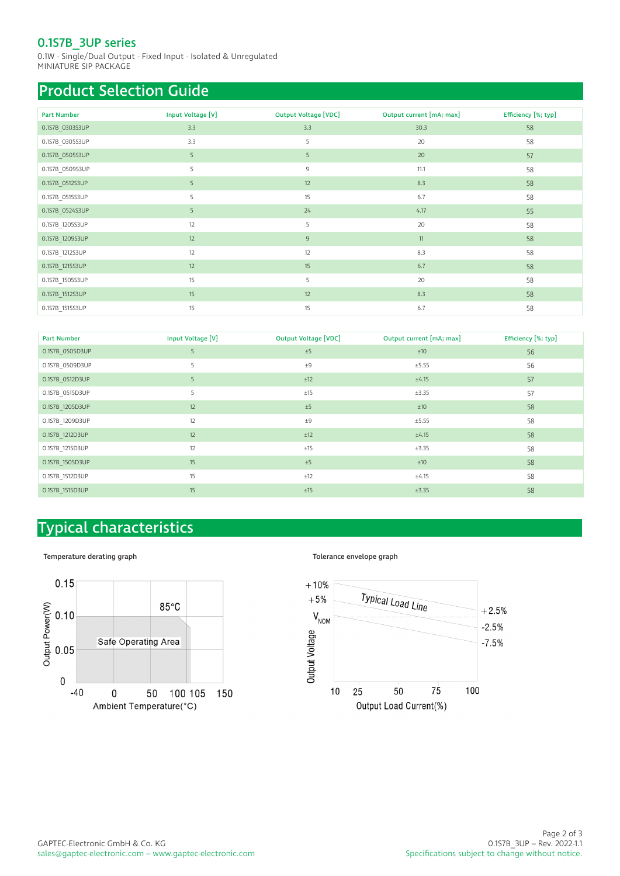# 0.1S7B\_3UP series

0.1W - Single/Dual Output - Fixed Input - Isolated & Unregulated MINIATURE SIP PACKAGE

# Product Selection Guide

| <b>Part Number</b> | Input Voltage [V] | <b>Output Voltage [VDC]</b> | Output current [mA; max] | Efficiency [%; typ] |
|--------------------|-------------------|-----------------------------|--------------------------|---------------------|
| 0.1S7B_0303S3UP    | 3.3               | 3.3                         | 30.3                     | 58                  |
| 0.1S7B_0305S3UP    | 3.3               | 5                           | 20                       | 58                  |
| 0.1S7B 0505S3UP    | 5                 | 5                           | 20                       | 57                  |
| 0.1S7B_0509S3UP    | 5                 | $\overline{9}$              | 11.1                     | 58                  |
| 0.1S7B_0512S3UP    | 5                 | 12                          | 8.3                      | 58                  |
| 0.1S7B_0515S3UP    | 5                 | 15                          | 6.7                      | 58                  |
| 0.1S7B_0524S3UP    | 5                 | 24                          | 4.17                     | 55                  |
| 0.1S7B_1205S3UP    | 12                | 5                           | 20                       | 58                  |
| 0.1S7B_1209S3UP    | 12                | $\overline{9}$              | 11                       | 58                  |
| 0.1S7B_1212S3UP    | 12                | 12                          | 8.3                      | 58                  |
| 0.1S7B 1215S3UP    | 12                | 15                          | 6.7                      | 58                  |
| 0.1S7B_1505S3UP    | 15                | 5                           | 20                       | 58                  |
| 0.1S7B_1512S3UP    | 15                | 12                          | 8.3                      | 58                  |
| 0.1S7B_1515S3UP    | 15                | 15                          | 6.7                      | 58                  |

| <b>Part Number</b> | Input Voltage [V] | <b>Output Voltage [VDC]</b> | Output current [mA; max] | Efficiency [%; typ] |
|--------------------|-------------------|-----------------------------|--------------------------|---------------------|
| 0.1S7B 0505D3UP    | 5                 | ±5                          | ±10                      | 56                  |
| 0.1S7B 0509D3UP    | 5                 | ±9                          | ±5.55                    | 56                  |
| 0.1S7B 0512D3UP    | 5                 | ±12                         | ±4.15                    | 57                  |
| 0.1S7B 0515D3UP    | 5                 | ±15                         | ±3.35                    | 57                  |
| 0.1S7B 1205D3UP    | 12                | ±5                          | ±10                      | 58                  |
| 0.1S7B 1209D3UP    | 12                | ±9                          | ±5.55                    | 58                  |
| 0.1S7B 1212D3UP    | 12                | ±12                         | ±4.15                    | 58                  |
| 0.1S7B_1215D3UP    | 12                | ±15                         | ±3.35                    | 58                  |
| 0.1S7B 1505D3UP    | 15                | ±5                          | ±10                      | 58                  |
| 0.1S7B 1512D3UP    | 15                | ±12                         | ±4.15                    | 58                  |
| 0.1S7B 1515D3UP    | 15                | ±15                         | ±3.35                    | 58                  |

# Typical characteristics

### Temperature derating graph  $\blacksquare$